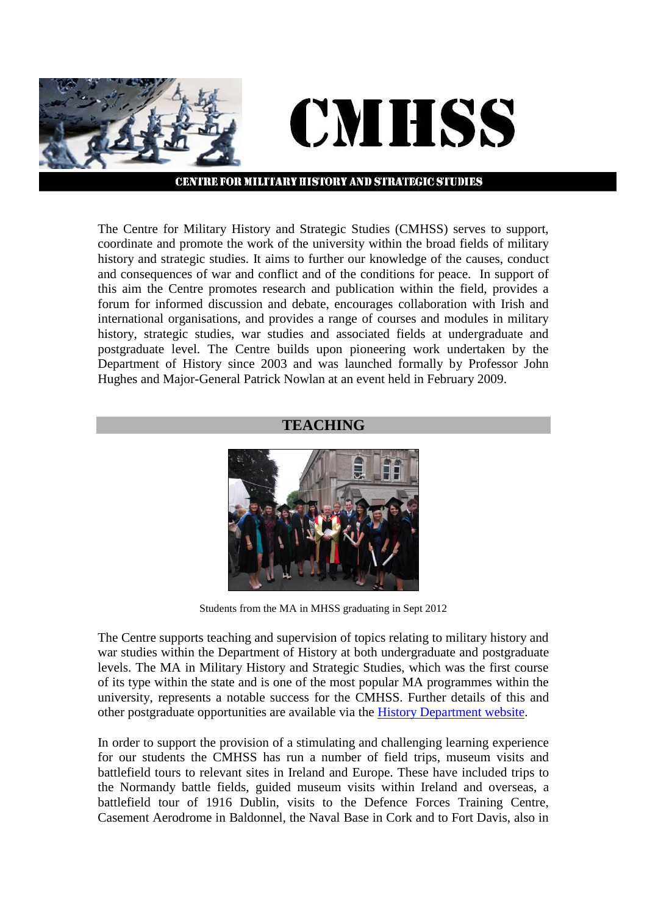

#### **CENTRE FOR MILITARY HISTORY AND STRATEGIC STUDIES**

The Centre for Military History and Strategic Studies (CMHSS) serves to support, coordinate and promote the work of the university within the broad fields of military history and strategic studies. It aims to further our knowledge of the causes, conduct and consequences of war and conflict and of the conditions for peace. In support of this aim the Centre promotes research and publication within the field, provides a forum for informed discussion and debate, encourages collaboration with Irish and international organisations, and provides a range of courses and modules in military history, strategic studies, war studies and associated fields at undergraduate and postgraduate level. The Centre builds upon pioneering work undertaken by the Department of History since 2003 and was launched formally by Professor John Hughes and Major-General Patrick Nowlan at an event held in February 2009.

#### **TEACHING**



Students from the MA in MHSS graduating in Sept 2012

The Centre supports teaching and supervision of topics relating to military history and war studies within the Department of History at both undergraduate and postgraduate levels. The MA in Military History and Strategic Studies, which was the first course of its type within the state and is one of the most popular MA programmes within the university, represents a notable success for the CMHSS. Further details of this and other postgraduate opportunities are available via the [History Department website.](http://history.nuim.ie/postgraduates/mainmilitaryhistorystrategicstudies)

In order to support the provision of a stimulating and challenging learning experience for our students the CMHSS has run a number of field trips, museum visits and battlefield tours to relevant sites in Ireland and Europe. These have included trips to the Normandy battle fields, guided museum visits within Ireland and overseas, a battlefield tour of 1916 Dublin, visits to the Defence Forces Training Centre, Casement Aerodrome in Baldonnel, the Naval Base in Cork and to Fort Davis, also in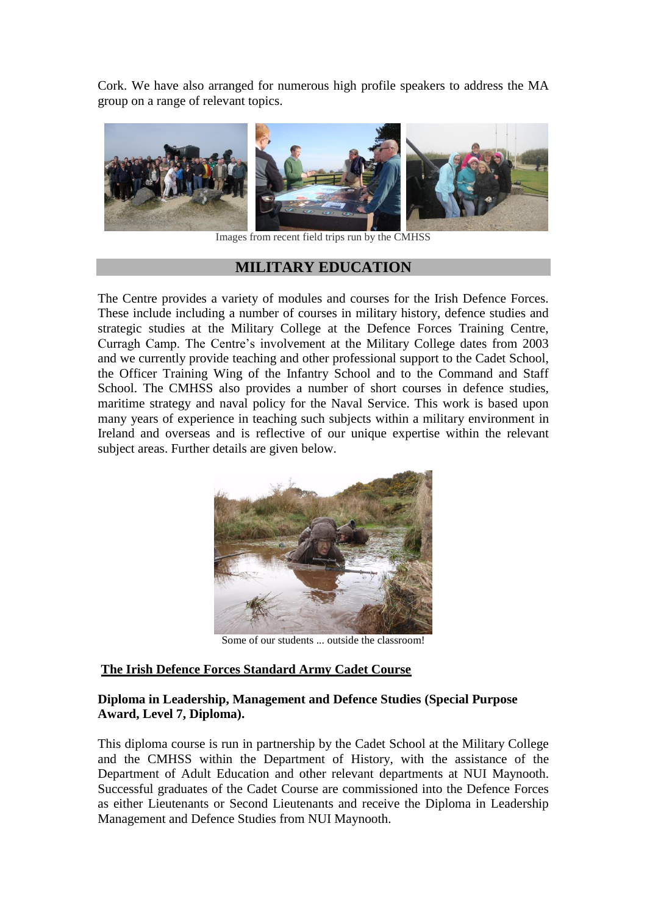Cork. We have also arranged for numerous high profile speakers to address the MA group on a range of relevant topics.



Images from recent field trips run by the CMHSS

## **MILITARY EDUCATION**

The Centre provides a variety of modules and courses for the Irish Defence Forces. These include including a number of courses in military history, defence studies and strategic studies at the Military College at the Defence Forces Training Centre, Curragh Camp. The Centre's involvement at the Military College dates from 2003 and we currently provide teaching and other professional support to the Cadet School, the Officer Training Wing of the Infantry School and to the Command and Staff School. The CMHSS also provides a number of short courses in defence studies, maritime strategy and naval policy for the Naval Service. This work is based upon many years of experience in teaching such subjects within a military environment in Ireland and overseas and is reflective of our unique expertise within the relevant subject areas. Further details are given below.



Some of our students ... outside the classroom!

#### **The Irish Defence Forces Standard Army Cadet Course**

#### **Diploma in Leadership, Management and Defence Studies (Special Purpose Award, Level 7, Diploma).**

This diploma course is run in partnership by the Cadet School at the Military College and the CMHSS within the Department of History, with the assistance of the Department of Adult Education and other relevant departments at NUI Maynooth. Successful graduates of the Cadet Course are commissioned into the Defence Forces as either Lieutenants or Second Lieutenants and receive the Diploma in Leadership Management and Defence Studies from NUI Maynooth.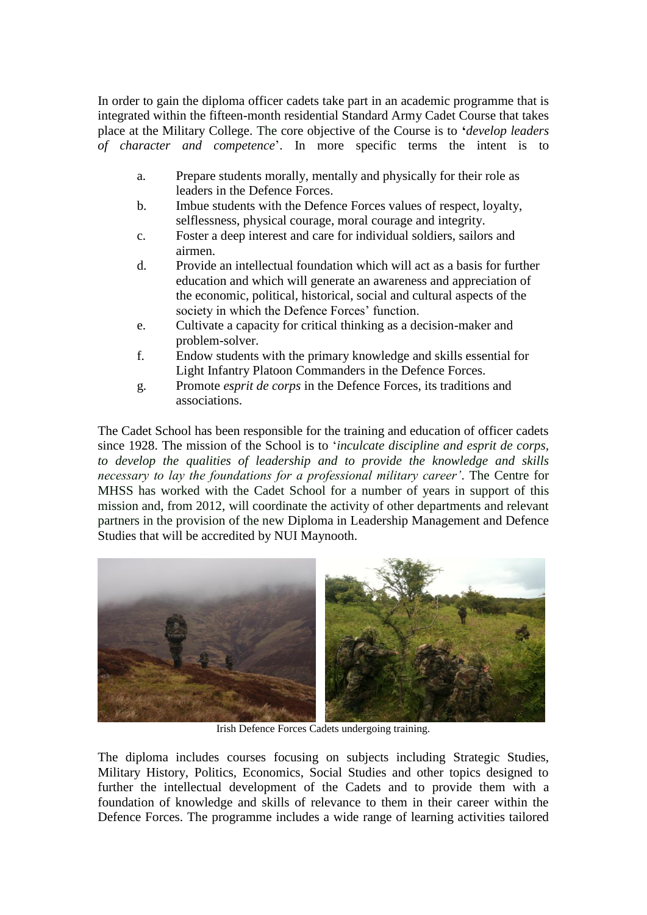In order to gain the diploma officer cadets take part in an academic programme that is integrated within the fifteen-month residential Standard Army Cadet Course that takes place at the Military College. The core objective of the Course is to **'***develop leaders of character and competence*'. In more specific terms the intent is to

- a. Prepare students morally, mentally and physically for their role as leaders in the Defence Forces.
- b. Imbue students with the Defence Forces values of respect, loyalty, selflessness, physical courage, moral courage and integrity.
- c. Foster a deep interest and care for individual soldiers, sailors and airmen.
- d. Provide an intellectual foundation which will act as a basis for further education and which will generate an awareness and appreciation of the economic, political, historical, social and cultural aspects of the society in which the Defence Forces' function.
- e. Cultivate a capacity for critical thinking as a decision-maker and problem-solver.
- f. Endow students with the primary knowledge and skills essential for Light Infantry Platoon Commanders in the Defence Forces.
- g. Promote *esprit de corps* in the Defence Forces, its traditions and associations.

The Cadet School has been responsible for the training and education of officer cadets since 1928. The mission of the School is to '*inculcate discipline and esprit de corps, to develop the qualities of leadership and to provide the knowledge and skills necessary to lay the foundations for a professional military career'*. The Centre for MHSS has worked with the Cadet School for a number of years in support of this mission and, from 2012, will coordinate the activity of other departments and relevant partners in the provision of the new Diploma in Leadership Management and Defence Studies that will be accredited by NUI Maynooth.



Irish Defence Forces Cadets undergoing training.

The diploma includes courses focusing on subjects including Strategic Studies, Military History, Politics, Economics, Social Studies and other topics designed to further the intellectual development of the Cadets and to provide them with a foundation of knowledge and skills of relevance to them in their career within the Defence Forces. The programme includes a wide range of learning activities tailored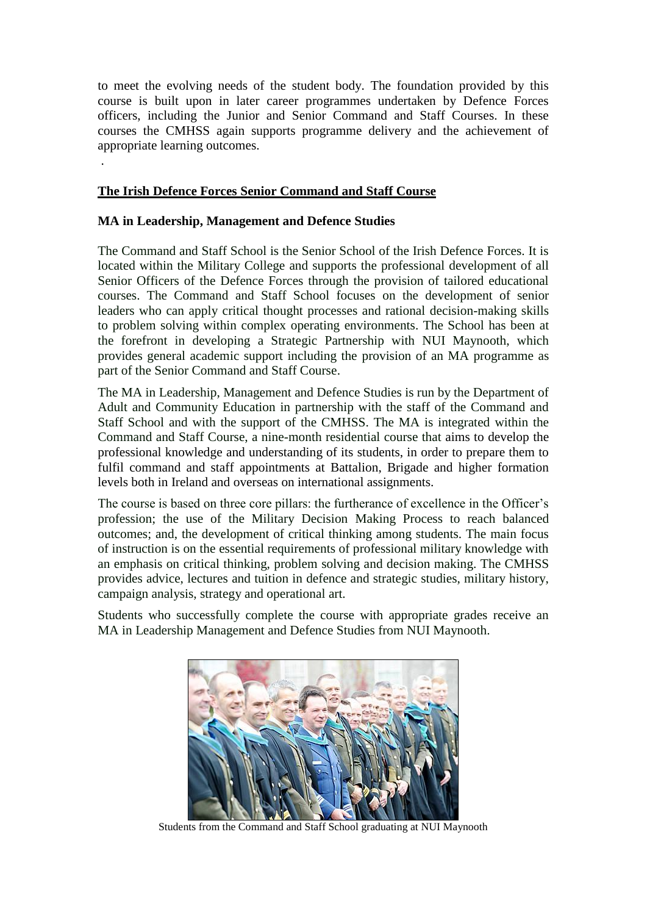to meet the evolving needs of the student body. The foundation provided by this course is built upon in later career programmes undertaken by Defence Forces officers, including the Junior and Senior Command and Staff Courses. In these courses the CMHSS again supports programme delivery and the achievement of appropriate learning outcomes.

#### **The Irish Defence Forces Senior Command and Staff Course**

#### **MA in Leadership, Management and Defence Studies**

.

The Command and Staff School is the Senior School of the Irish Defence Forces. It is located within the Military College and supports the professional development of all Senior Officers of the Defence Forces through the provision of tailored educational courses. The Command and Staff School focuses on the development of senior leaders who can apply critical thought processes and rational decision-making skills to problem solving within complex operating environments. The School has been at the forefront in developing a Strategic Partnership with NUI Maynooth, which provides general academic support including the provision of an MA programme as part of the Senior Command and Staff Course.

The MA in Leadership, Management and Defence Studies is run by the Department of Adult and Community Education in partnership with the staff of the Command and Staff School and with the support of the CMHSS. The MA is integrated within the Command and Staff Course, a nine-month residential course that aims to develop the professional knowledge and understanding of its students, in order to prepare them to fulfil command and staff appointments at Battalion, Brigade and higher formation levels both in Ireland and overseas on international assignments.

The course is based on three core pillars: the furtherance of excellence in the Officer's profession; the use of the Military Decision Making Process to reach balanced outcomes; and, the development of critical thinking among students. The main focus of instruction is on the essential requirements of professional military knowledge with an emphasis on critical thinking, problem solving and decision making. The CMHSS provides advice, lectures and tuition in defence and strategic studies, military history, campaign analysis, strategy and operational art.

Students who successfully complete the course with appropriate grades receive an MA in Leadership Management and Defence Studies from NUI Maynooth.



Students from the Command and Staff School graduating at NUI Maynooth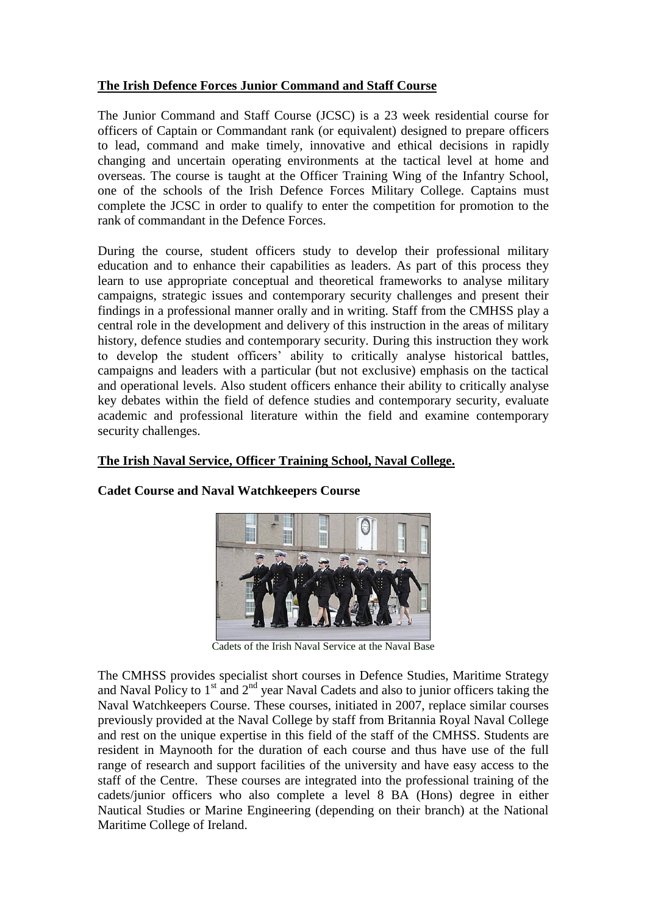## **The Irish Defence Forces Junior Command and Staff Course**

The Junior Command and Staff Course (JCSC) is a 23 week residential course for officers of Captain or Commandant rank (or equivalent) designed to prepare officers to lead, command and make timely, innovative and ethical decisions in rapidly changing and uncertain operating environments at the tactical level at home and overseas. The course is taught at the Officer Training Wing of the Infantry School, one of the schools of the Irish Defence Forces Military College. Captains must complete the JCSC in order to qualify to enter the competition for promotion to the rank of commandant in the Defence Forces.

During the course, student officers study to develop their professional military education and to enhance their capabilities as leaders. As part of this process they learn to use appropriate conceptual and theoretical frameworks to analyse military campaigns, strategic issues and contemporary security challenges and present their findings in a professional manner orally and in writing. Staff from the CMHSS play a central role in the development and delivery of this instruction in the areas of military history, defence studies and contemporary security. During this instruction they work to develop the student officers' ability to critically analyse historical battles, campaigns and leaders with a particular (but not exclusive) emphasis on the tactical and operational levels. Also student officers enhance their ability to critically analyse key debates within the field of defence studies and contemporary security, evaluate academic and professional literature within the field and examine contemporary security challenges.

### **The Irish Naval Service, Officer Training School, Naval College.**



### **Cadet Course and Naval Watchkeepers Course**

Cadets of the Irish Naval Service at the Naval Base

The CMHSS provides specialist short courses in Defence Studies, Maritime Strategy and Naval Policy to  $1<sup>st</sup>$  and  $2<sup>nd</sup>$  year Naval Cadets and also to junior officers taking the Naval Watchkeepers Course. These courses, initiated in 2007, replace similar courses previously provided at the Naval College by staff from Britannia Royal Naval College and rest on the unique expertise in this field of the staff of the CMHSS. Students are resident in Maynooth for the duration of each course and thus have use of the full range of research and support facilities of the university and have easy access to the staff of the Centre. These courses are integrated into the professional training of the cadets/junior officers who also complete a level 8 BA (Hons) degree in either Nautical Studies or Marine Engineering (depending on their branch) at the National Maritime College of Ireland.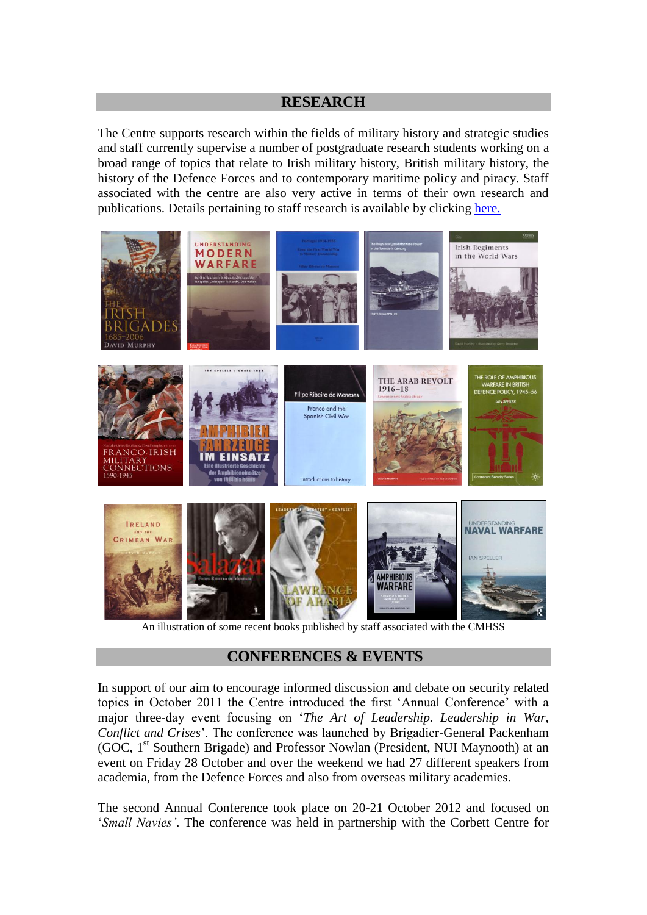### **RESEARCH**

The Centre supports research within the fields of military history and strategic studies and staff currently supervise a number of postgraduate research students working on a broad range of topics that relate to Irish military history, British military history, the history of the Defence Forces and to contemporary maritime policy and piracy. Staff associated with the centre are also very active in terms of their own research and publications. Details pertaining to staff research is available by clicking [here.](http://history.nuim.ie/staff)



An illustration of some recent books published by staff associated with the CMHSS

# **CONFERENCES & EVENTS**

In support of our aim to encourage informed discussion and debate on security related topics in October 2011 the Centre introduced the first 'Annual Conference' with a major three-day event focusing on '*The Art of Leadership. Leadership in War, Conflict and Crises*'. The conference was launched by Brigadier-General Packenham (GOC, 1<sup>st</sup> Southern Brigade) and Professor Nowlan (President, NUI Maynooth) at an event on Friday 28 October and over the weekend we had 27 different speakers from academia, from the Defence Forces and also from overseas military academies.

The second Annual Conference took place on 20-21 October 2012 and focused on '*Small Navies'*. The conference was held in partnership with the Corbett Centre for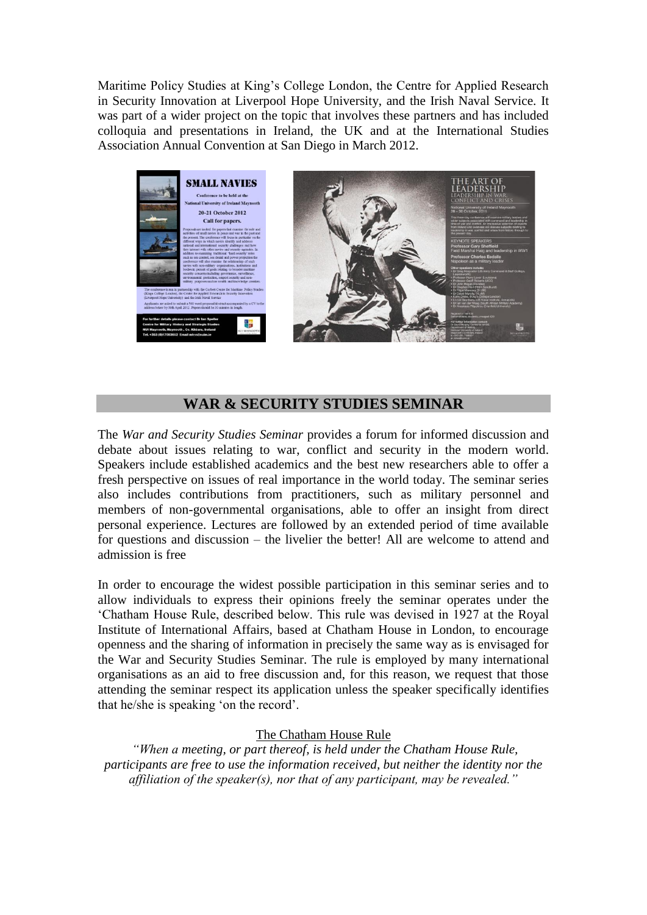Maritime Policy Studies at King's College London, the Centre for Applied Research in Security Innovation at Liverpool Hope University, and the Irish Naval Service. It was part of a wider project on the topic that involves these partners and has included colloquia and presentations in Ireland, the UK and at the International Studies Association Annual Convention at San Diego in March 2012.



# **WAR & SECURITY STUDIES SEMINAR**

The *War and Security Studies Seminar* provides a forum for informed discussion and debate about issues relating to war, conflict and security in the modern world. Speakers include established academics and the best new researchers able to offer a fresh perspective on issues of real importance in the world today. The seminar series also includes contributions from practitioners, such as military personnel and members of non-governmental organisations, able to offer an insight from direct personal experience. Lectures are followed by an extended period of time available for questions and discussion – the livelier the better! All are welcome to attend and admission is free

In order to encourage the widest possible participation in this seminar series and to allow individuals to express their opinions freely the seminar operates under the 'Chatham House Rule, described below. This rule was devised in 1927 at the Royal Institute of International Affairs, based at Chatham House in London, to encourage openness and the sharing of information in precisely the same way as is envisaged for the War and Security Studies Seminar. The rule is employed by many international organisations as an aid to free discussion and, for this reason, we request that those attending the seminar respect its application unless the speaker specifically identifies that he/she is speaking 'on the record'.

#### The Chatham House Rule

*"When a meeting, or part thereof, is held under the Chatham House Rule, participants are free to use the information received, but neither the identity nor the affiliation of the speaker(s), nor that of any participant, may be revealed."*